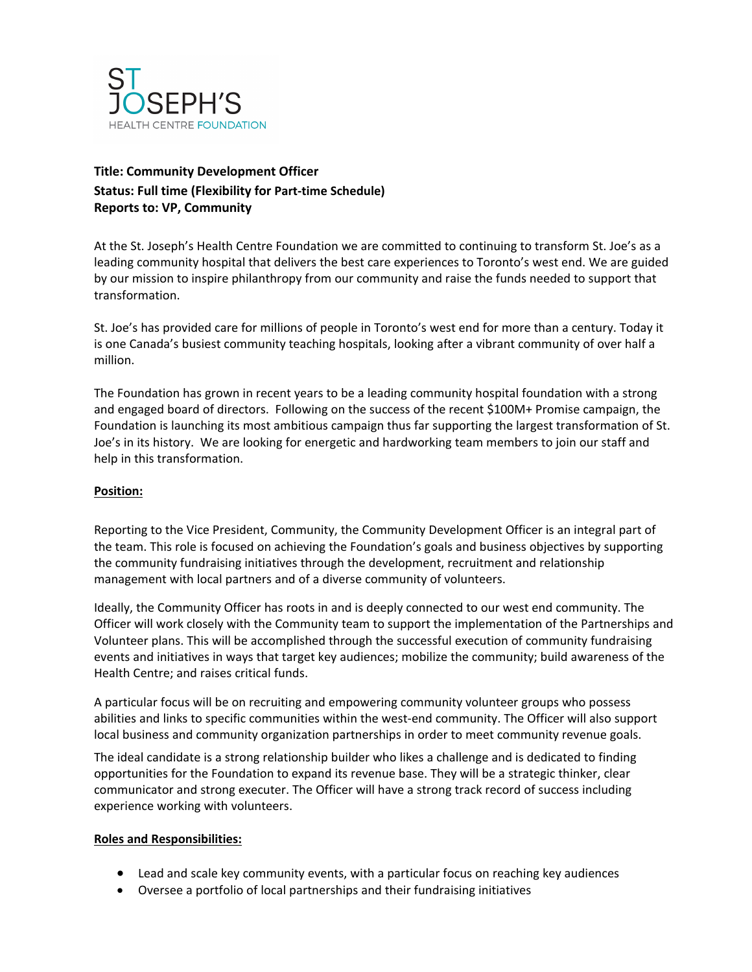

# **Title: Community Development Officer Status: Full time (Flexibility for Part-time Schedule) Reports to: VP, Community**

At the St. Joseph's Health Centre Foundation we are committed to continuing to transform St. Joe's as a leading community hospital that delivers the best care experiences to Toronto's west end. We are guided by our mission to inspire philanthropy from our community and raise the funds needed to support that transformation.

St. Joe's has provided care for millions of people in Toronto's west end for more than a century. Today it is one Canada's busiest community teaching hospitals, looking after a vibrant community of over half a million.

The Foundation has grown in recent years to be a leading community hospital foundation with a strong and engaged board of directors. Following on the success of the recent \$100M+ Promise campaign, the Foundation is launching its most ambitious campaign thus far supporting the largest transformation of St. Joe's in its history. We are looking for energetic and hardworking team members to join our staff and help in this transformation.

## **Position:**

Reporting to the Vice President, Community, the Community Development Officer is an integral part of the team. This role is focused on achieving the Foundation's goals and business objectives by supporting the community fundraising initiatives through the development, recruitment and relationship management with local partners and of a diverse community of volunteers.

Ideally, the Community Officer has roots in and is deeply connected to our west end community. The Officer will work closely with the Community team to support the implementation of the Partnerships and Volunteer plans. This will be accomplished through the successful execution of community fundraising events and initiatives in ways that target key audiences; mobilize the community; build awareness of the Health Centre; and raises critical funds.

A particular focus will be on recruiting and empowering community volunteer groups who possess abilities and links to specific communities within the west-end community. The Officer will also support local business and community organization partnerships in order to meet community revenue goals.

The ideal candidate is a strong relationship builder who likes a challenge and is dedicated to finding opportunities for the Foundation to expand its revenue base. They will be a strategic thinker, clear communicator and strong executer. The Officer will have a strong track record of success including experience working with volunteers.

### **Roles and Responsibilities:**

- Lead and scale key community events, with a particular focus on reaching key audiences
- Oversee a portfolio of local partnerships and their fundraising initiatives